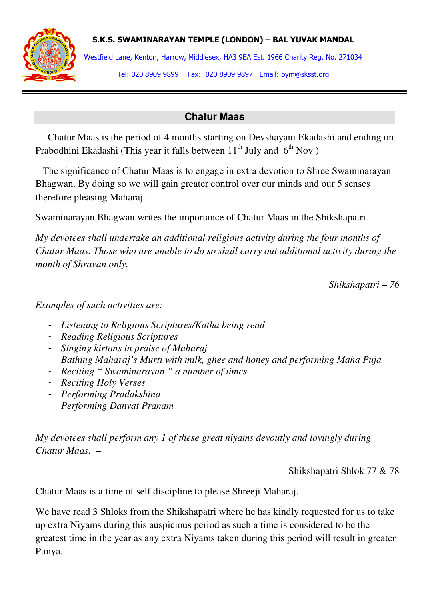



Westfield Lane, Kenton, Harrow, Middlesex, HA3 9EA Est. 1966 Charity Reg. No. 271034 Tel: 020 8909 9899 Fax: 020 8909 9897 Email: bym@sksst.org

## **Chatur Maas**

 Chatur Maas is the period of 4 months starting on Devshayani Ekadashi and ending on Prabodhini Ekadashi (This year it falls between  $11<sup>th</sup>$  July and  $6<sup>th</sup>$  Nov )

 The significance of Chatur Maas is to engage in extra devotion to Shree Swaminarayan Bhagwan. By doing so we will gain greater control over our minds and our 5 senses therefore pleasing Maharaj.

Swaminarayan Bhagwan writes the importance of Chatur Maas in the Shikshapatri.

*My devotees shall undertake an additional religious activity during the four months of Chatur Maas. Those who are unable to do so shall carry out additional activity during the month of Shravan only.* 

*Shikshapatri – 76* 

*Examples of such activities are:* 

- *Listening to Religious Scriptures/Katha being read*
- *Reading Religious Scriptures*
- *Singing kirtans in praise of Maharaj*
- *Bathing Maharaj's Murti with milk, ghee and honey and performing Maha Puja*
- *Reciting " Swaminarayan " a number of times*
- *Reciting Holy Verses*
- *Performing Pradakshina*
- *Performing Danvat Pranam*

*My devotees shall perform any 1 of these great niyams devoutly and lovingly during Chatur Maas. –*

Shikshapatri Shlok 77 & 78

Chatur Maas is a time of self discipline to please Shreeji Maharaj.

We have read 3 Shloks from the Shikshapatri where he has kindly requested for us to take up extra Niyams during this auspicious period as such a time is considered to be the greatest time in the year as any extra Niyams taken during this period will result in greater Punya.